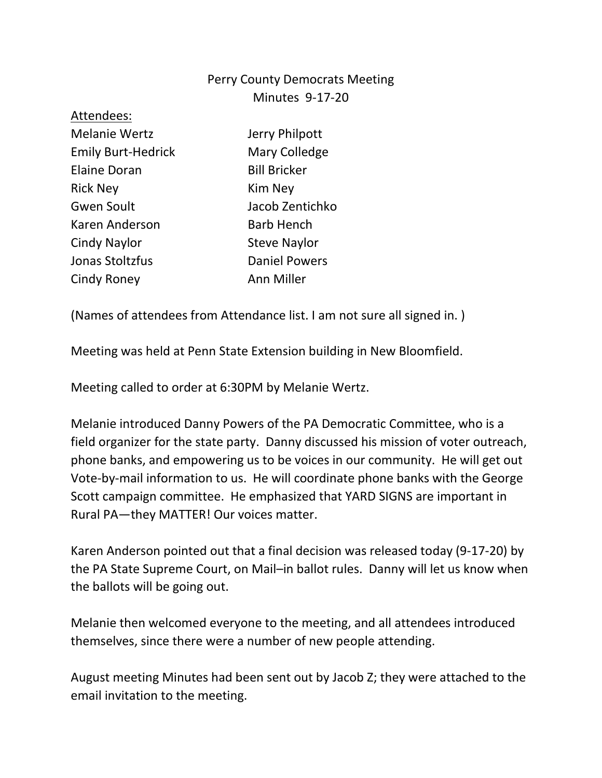## Perry County Democrats Meeting Minutes 9-17-20

| Attendees:                |                      |
|---------------------------|----------------------|
| <b>Melanie Wertz</b>      | Jerry Philpott       |
| <b>Emily Burt-Hedrick</b> | Mary Colledge        |
| <b>Elaine Doran</b>       | <b>Bill Bricker</b>  |
| <b>Rick Ney</b>           | Kim Ney              |
| Gwen Soult                | Jacob Zentichko      |
| Karen Anderson            | <b>Barb Hench</b>    |
| Cindy Naylor              | <b>Steve Naylor</b>  |
| Jonas Stoltzfus           | <b>Daniel Powers</b> |
| Cindy Roney               | Ann Miller           |
|                           |                      |

(Names of attendees from Attendance list. I am not sure all signed in. )

Meeting was held at Penn State Extension building in New Bloomfield.

Meeting called to order at 6:30PM by Melanie Wertz.

Melanie introduced Danny Powers of the PA Democratic Committee, who is a field organizer for the state party. Danny discussed his mission of voter outreach, phone banks, and empowering us to be voices in our community. He will get out Vote-by-mail information to us. He will coordinate phone banks with the George Scott campaign committee. He emphasized that YARD SIGNS are important in Rural PA—they MATTER! Our voices matter.

Karen Anderson pointed out that a final decision was released today (9-17-20) by the PA State Supreme Court, on Mail–in ballot rules. Danny will let us know when the ballots will be going out.

Melanie then welcomed everyone to the meeting, and all attendees introduced themselves, since there were a number of new people attending.

August meeting Minutes had been sent out by Jacob Z; they were attached to the email invitation to the meeting.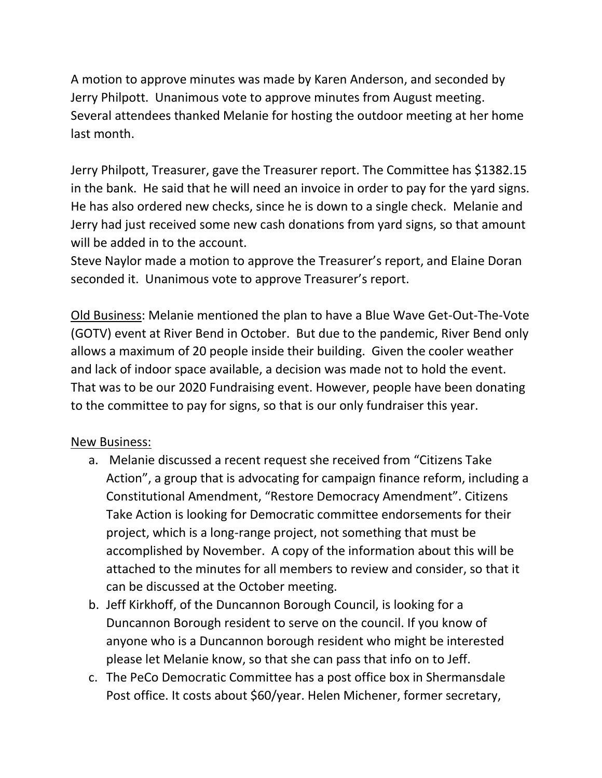A motion to approve minutes was made by Karen Anderson, and seconded by Jerry Philpott. Unanimous vote to approve minutes from August meeting. Several attendees thanked Melanie for hosting the outdoor meeting at her home last month.

Jerry Philpott, Treasurer, gave the Treasurer report. The Committee has \$1382.15 in the bank. He said that he will need an invoice in order to pay for the yard signs. He has also ordered new checks, since he is down to a single check. Melanie and Jerry had just received some new cash donations from yard signs, so that amount will be added in to the account.

Steve Naylor made a motion to approve the Treasurer's report, and Elaine Doran seconded it. Unanimous vote to approve Treasurer's report.

Old Business: Melanie mentioned the plan to have a Blue Wave Get-Out-The-Vote (GOTV) event at River Bend in October. But due to the pandemic, River Bend only allows a maximum of 20 people inside their building. Given the cooler weather and lack of indoor space available, a decision was made not to hold the event. That was to be our 2020 Fundraising event. However, people have been donating to the committee to pay for signs, so that is our only fundraiser this year.

## New Business:

- a. Melanie discussed a recent request she received from "Citizens Take Action", a group that is advocating for campaign finance reform, including a Constitutional Amendment, "Restore Democracy Amendment". Citizens Take Action is looking for Democratic committee endorsements for their project, which is a long-range project, not something that must be accomplished by November. A copy of the information about this will be attached to the minutes for all members to review and consider, so that it can be discussed at the October meeting.
- b. Jeff Kirkhoff, of the Duncannon Borough Council, is looking for a Duncannon Borough resident to serve on the council. If you know of anyone who is a Duncannon borough resident who might be interested please let Melanie know, so that she can pass that info on to Jeff.
- c. The PeCo Democratic Committee has a post office box in Shermansdale Post office. It costs about \$60/year. Helen Michener, former secretary,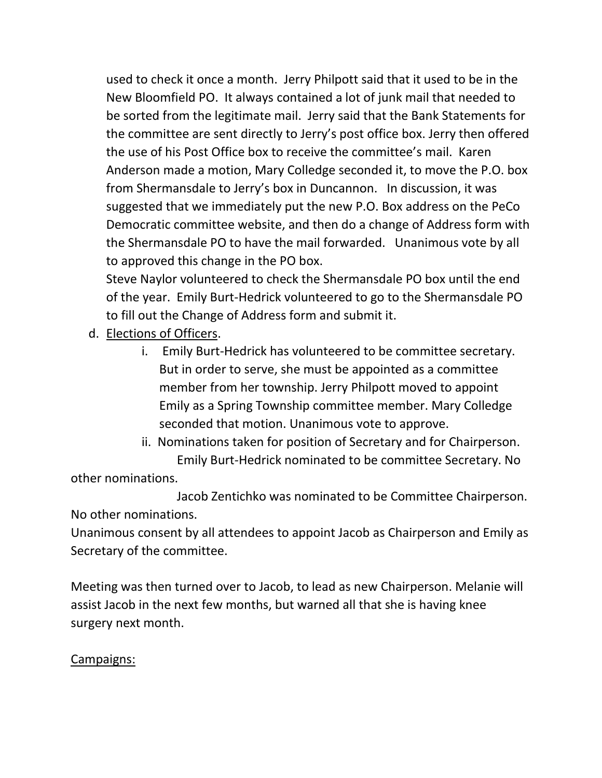used to check it once a month. Jerry Philpott said that it used to be in the New Bloomfield PO. It always contained a lot of junk mail that needed to be sorted from the legitimate mail. Jerry said that the Bank Statements for the committee are sent directly to Jerry's post office box. Jerry then offered the use of his Post Office box to receive the committee's mail. Karen Anderson made a motion, Mary Colledge seconded it, to move the P.O. box from Shermansdale to Jerry's box in Duncannon. In discussion, it was suggested that we immediately put the new P.O. Box address on the PeCo Democratic committee website, and then do a change of Address form with the Shermansdale PO to have the mail forwarded. Unanimous vote by all to approved this change in the PO box.

Steve Naylor volunteered to check the Shermansdale PO box until the end of the year. Emily Burt-Hedrick volunteered to go to the Shermansdale PO to fill out the Change of Address form and submit it.

- d. Elections of Officers.
	- i. Emily Burt-Hedrick has volunteered to be committee secretary. But in order to serve, she must be appointed as a committee member from her township. Jerry Philpott moved to appoint Emily as a Spring Township committee member. Mary Colledge seconded that motion. Unanimous vote to approve.
	- ii. Nominations taken for position of Secretary and for Chairperson. Emily Burt-Hedrick nominated to be committee Secretary. No

other nominations.

Jacob Zentichko was nominated to be Committee Chairperson. No other nominations.

Unanimous consent by all attendees to appoint Jacob as Chairperson and Emily as Secretary of the committee.

Meeting was then turned over to Jacob, to lead as new Chairperson. Melanie will assist Jacob in the next few months, but warned all that she is having knee surgery next month.

## Campaigns: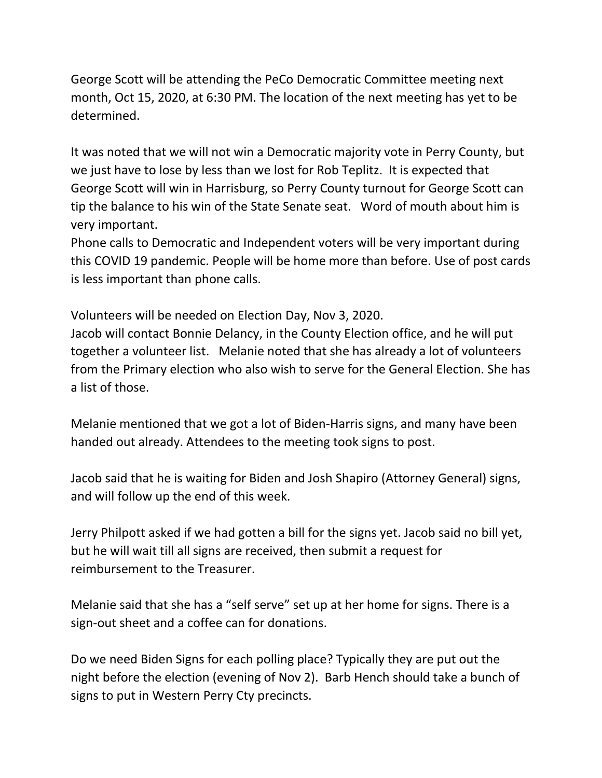George Scott will be attending the PeCo Democratic Committee meeting next month, Oct 15, 2020, at 6:30 PM. The location of the next meeting has yet to be determined.

It was noted that we will not win a Democratic majority vote in Perry County, but we just have to lose by less than we lost for Rob Teplitz. It is expected that George Scott will win in Harrisburg, so Perry County turnout for George Scott can tip the balance to his win of the State Senate seat. Word of mouth about him is very important.

Phone calls to Democratic and Independent voters will be very important during this COVID 19 pandemic. People will be home more than before. Use of post cards is less important than phone calls.

Volunteers will be needed on Election Day, Nov 3, 2020.

Jacob will contact Bonnie Delancy, in the County Election office, and he will put together a volunteer list. Melanie noted that she has already a lot of volunteers from the Primary election who also wish to serve for the General Election. She has a list of those.

Melanie mentioned that we got a lot of Biden-Harris signs, and many have been handed out already. Attendees to the meeting took signs to post.

Jacob said that he is waiting for Biden and Josh Shapiro (Attorney General) signs, and will follow up the end of this week.

Jerry Philpott asked if we had gotten a bill for the signs yet. Jacob said no bill yet, but he will wait till all signs are received, then submit a request for reimbursement to the Treasurer.

Melanie said that she has a "self serve" set up at her home for signs. There is a sign-out sheet and a coffee can for donations.

Do we need Biden Signs for each polling place? Typically they are put out the night before the election (evening of Nov 2). Barb Hench should take a bunch of signs to put in Western Perry Cty precincts.